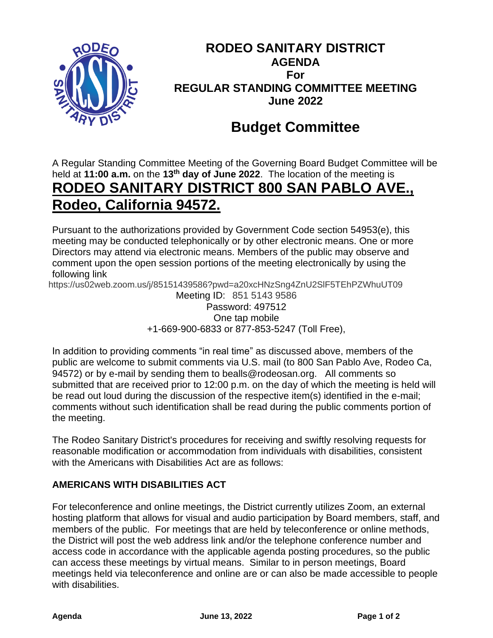

# **RODEO SANITARY DISTRICT AGENDA For REGULAR STANDING COMMITTEE MEETING June 2022**

# **Budget Committee**

A Regular Standing Committee Meeting of the Governing Board Budget Committee will be held at **11:00 a.m.** on the **13th day of June 2022**. The location of the meeting is **RODEO SANITARY DISTRICT 800 SAN PABLO AVE., Rodeo, California 94572.**

Pursuant to the authorizations provided by Government Code section 54953(e), this meeting may be conducted telephonically or by other electronic means. One or more Directors may attend via electronic means. Members of the public may observe and comment upon the open session portions of the meeting electronically by using the following link

https://us02web.zoom.us/j/85151439586?pwd=a20xcHNzSng4ZnU2SlF5TEhPZWhuUT09

Meeting ID: 851 5143 9586 Password: 497512 One tap mobile +1-669-900-6833 or 877-853-5247 (Toll Free),

In addition to providing comments "in real time" as discussed above, members of the public are welcome to submit comments via U.S. mail (to 800 San Pablo Ave, Rodeo Ca, 94572) or by e-mail by sending them to bealls@rodeosan.org. All comments so submitted that are received prior to 12:00 p.m. on the day of which the meeting is held will be read out loud during the discussion of the respective item(s) identified in the e-mail; comments without such identification shall be read during the public comments portion of the meeting.

The Rodeo Sanitary District's procedures for receiving and swiftly resolving requests for reasonable modification or accommodation from individuals with disabilities, consistent with the Americans with Disabilities Act are as follows:

## **AMERICANS WITH DISABILITIES ACT**

For teleconference and online meetings, the District currently utilizes Zoom, an external hosting platform that allows for visual and audio participation by Board members, staff, and members of the public. For meetings that are held by teleconference or online methods, the District will post the web address link and/or the telephone conference number and access code in accordance with the applicable agenda posting procedures, so the public can access these meetings by virtual means. Similar to in person meetings, Board meetings held via teleconference and online are or can also be made accessible to people with disabilities.